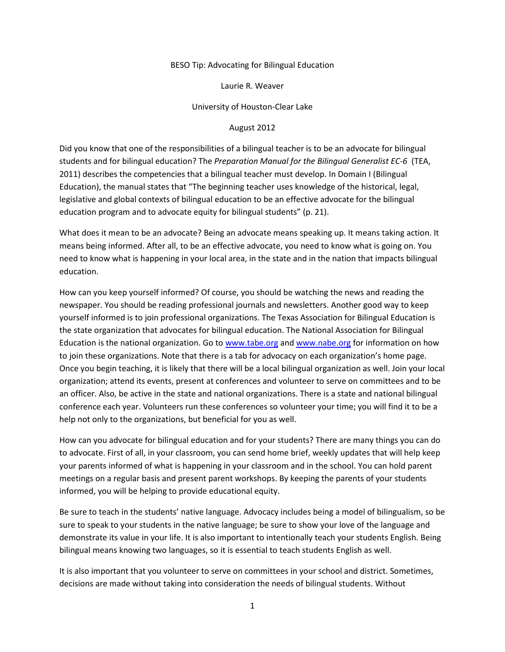## BESO Tip: Advocating for Bilingual Education

Laurie R. Weaver

University of Houston-Clear Lake

## August 2012

Did you know that one of the responsibilities of a bilingual teacher is to be an advocate for bilingual students and for bilingual education? The *Preparation Manual for the Bilingual Generalist EC-6* (TEA, 2011) describes the competencies that a bilingual teacher must develop. In Domain I (Bilingual Education), the manual states that "The beginning teacher uses knowledge of the historical, legal, legislative and global contexts of bilingual education to be an effective advocate for the bilingual education program and to advocate equity for bilingual students" (p. 21).

What does it mean to be an advocate? Being an advocate means speaking up. It means taking action. It means being informed. After all, to be an effective advocate, you need to know what is going on. You need to know what is happening in your local area, in the state and in the nation that impacts bilingual education.

How can you keep yourself informed? Of course, you should be watching the news and reading the newspaper. You should be reading professional journals and newsletters. Another good way to keep yourself informed is to join professional organizations. The Texas Association for Bilingual Education is the state organization that advocates for bilingual education. The National Association for Bilingual Education is the national organization. Go to [www.tabe.org](http://www.tabe.org/) and [www.nabe.org](http://www.nabe.org/) for information on how to join these organizations. Note that there is a tab for advocacy on each organization's home page. Once you begin teaching, it is likely that there will be a local bilingual organization as well. Join your local organization; attend its events, present at conferences and volunteer to serve on committees and to be an officer. Also, be active in the state and national organizations. There is a state and national bilingual conference each year. Volunteers run these conferences so volunteer your time; you will find it to be a help not only to the organizations, but beneficial for you as well.

How can you advocate for bilingual education and for your students? There are many things you can do to advocate. First of all, in your classroom, you can send home brief, weekly updates that will help keep your parents informed of what is happening in your classroom and in the school. You can hold parent meetings on a regular basis and present parent workshops. By keeping the parents of your students informed, you will be helping to provide educational equity.

Be sure to teach in the students' native language. Advocacy includes being a model of bilingualism, so be sure to speak to your students in the native language; be sure to show your love of the language and demonstrate its value in your life. It is also important to intentionally teach your students English. Being bilingual means knowing two languages, so it is essential to teach students English as well.

It is also important that you volunteer to serve on committees in your school and district. Sometimes, decisions are made without taking into consideration the needs of bilingual students. Without